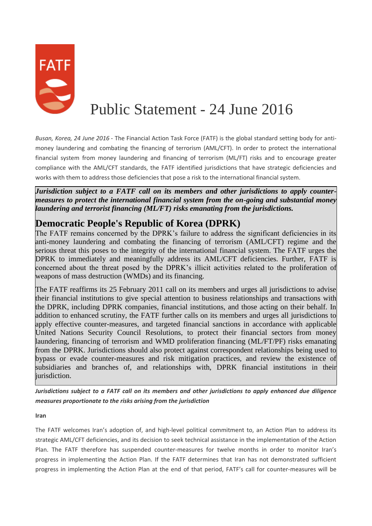

## Public Statement - 24 June 2016

*Busan, Korea, 24 June 2016* - The Financial Action Task Force (FATF) is the global standard setting body for antimoney laundering and combating the financing of terrorism (AML/CFT). In order to protect the international financial system from money laundering and financing of terrorism (ML/FT) risks and to encourage greater compliance with the AML/CFT standards, the FATF identified jurisdictions that have strategic deficiencies and works with them to address those deficiencies that pose a risk to the international financial system.

*Jurisdiction subject to a FATF call on its members and other jurisdictions to apply countermeasures to protect the international financial system from the on-going and substantial money laundering and terrorist financing (ML/FT) risks emanating from the jurisdictions.*

## **Democratic People's Republic of Korea (DPRK)**

The FATF remains concerned by the DPRK's failure to address the significant deficiencies in its anti-money laundering and combating the financing of terrorism (AML/CFT) regime and the serious threat this poses to the integrity of the international financial system. The FATF urges the DPRK to immediately and meaningfully address its AML/CFT deficiencies. Further, FATF is concerned about the threat posed by the DPRK's illicit activities related to the proliferation of weapons of mass destruction (WMDs) and its financing.

The FATF reaffirms its 25 February 2011 call on its members and urges all jurisdictions to advise their financial institutions to give special attention to business relationships and transactions with the DPRK, including DPRK companies, financial institutions, and those acting on their behalf. In addition to enhanced scrutiny, the FATF further calls on its members and urges all jurisdictions to apply effective counter-measures, and targeted financial sanctions in accordance with applicable United Nations Security Council Resolutions, to protect their financial sectors from money laundering, financing of terrorism and WMD proliferation financing (ML/FT/PF) risks emanating from the DPRK. Jurisdictions should also protect against correspondent relationships being used to bypass or evade counter-measures and risk mitigation practices, and review the existence of subsidiaries and branches of, and relationships with, DPRK financial institutions in their jurisdiction.

*Jurisdictions subject to a FATF call on its members and other jurisdictions to apply enhanced due diligence measures proportionate to the risks arising from the jurisdiction*

**Iran**

The FATF welcomes Iran's adoption of, and high-level political commitment to, an Action Plan to address its strategic AML/CFT deficiencies, and its decision to seek technical assistance in the implementation of the Action Plan. The FATF therefore has suspended counter-measures for twelve months in order to monitor Iran's progress in implementing the Action Plan. If the FATF determines that Iran has not demonstrated sufficient progress in implementing the Action Plan at the end of that period, FATF's call for counter-measures will be